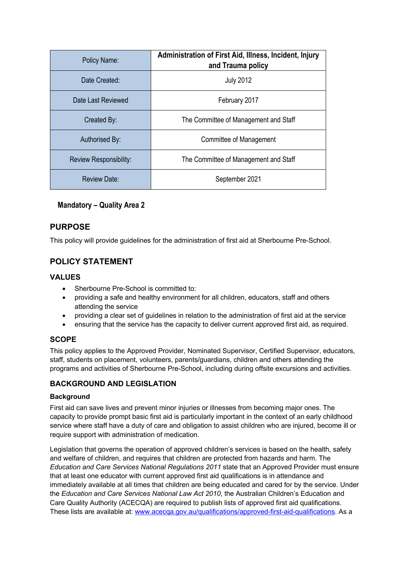| Policy Name:                  | Administration of First Aid, Illness, Incident, Injury<br>and Trauma policy |  |
|-------------------------------|-----------------------------------------------------------------------------|--|
| Date Created:                 | <b>July 2012</b>                                                            |  |
| Date Last Reviewed            | February 2017                                                               |  |
| Created By:                   | The Committee of Management and Staff                                       |  |
| Authorised By:                | Committee of Management                                                     |  |
| <b>Review Responsibility:</b> | The Committee of Management and Staff                                       |  |
| Review Date:                  | September 2021                                                              |  |

## **Mandatory – Quality Area 2**

## **PURPOSE**

This policy will provide guidelines for the administration of first aid at Sherbourne Pre-School.

## **POLICY STATEMENT**

## **VALUES**

- Sherbourne Pre-School is committed to:
- providing a safe and healthy environment for all children, educators, staff and others attending the service
- providing a clear set of guidelines in relation to the administration of first aid at the service
- ensuring that the service has the capacity to deliver current approved first aid, as required.

## **SCOPE**

This policy applies to the Approved Provider, Nominated Supervisor, Certified Supervisor, educators, staff, students on placement, volunteers, parents/guardians, children and others attending the programs and activities of Sherbourne Pre-School, including during offsite excursions and activities.

## **BACKGROUND AND LEGISLATION**

## **Background**

First aid can save lives and prevent minor injuries or illnesses from becoming major ones. The capacity to provide prompt basic first aid is particularly important in the context of an early childhood service where staff have a duty of care and obligation to assist children who are injured, become ill or require support with administration of medication.

Legislation that governs the operation of approved children's services is based on the health, safety and welfare of children, and requires that children are protected from hazards and harm. The *Education and Care Services National Regulations 2011* state that an Approved Provider must ensure that at least one educator with current approved first aid qualifications is in attendance and immediately available at all times that children are being educated and cared for by the service. Under the *Education and Care Services National Law Act 2010*, the Australian Children's Education and Care Quality Authority (ACECQA) are required to publish lists of approved first aid qualifications. These lists are available at: www.acecqa.gov.au/qualifications/approved-first-aid-qualifications. As a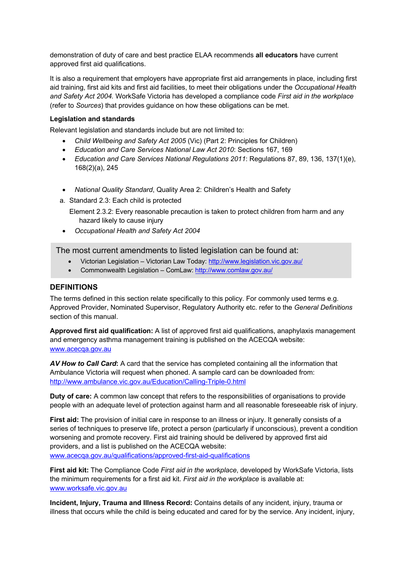demonstration of duty of care and best practice ELAA recommends **all educators** have current approved first aid qualifications.

It is also a requirement that employers have appropriate first aid arrangements in place, including first aid training, first aid kits and first aid facilities, to meet their obligations under the *Occupational Health and Safety Act 2004.* WorkSafe Victoria has developed a compliance code *First aid in the workplace*  (refer to *Sources*) that provides guidance on how these obligations can be met.

#### **Legislation and standards**

Relevant legislation and standards include but are not limited to:

- *Child Wellbeing and Safety Act 2005* (Vic) (Part 2: Principles for Children)
- *Education and Care Services National Law Act 2010*: Sections 167, 169
- *Education and Care Services National Regulations 2011*: Regulations 87, 89, 136, 137(1)(e), 168(2)(a), 245
- *National Quality Standard*, Quality Area 2: Children's Health and Safety
- a. Standard 2.3: Each child is protected

Element 2.3.2: Every reasonable precaution is taken to protect children from harm and any hazard likely to cause injury

• *Occupational Health and Safety Act 2004*

The most current amendments to listed legislation can be found at:

- Victorian Legislation Victorian Law Today: http://www.legislation.vic.gov.au/
- Commonwealth Legislation ComLaw: http://www.comlaw.gov.au/

#### **DEFINITIONS**

The terms defined in this section relate specifically to this policy. For commonly used terms e.g. Approved Provider, Nominated Supervisor, Regulatory Authority etc. refer to the *General Definitions* section of this manual.

**Approved first aid qualification:** A list of approved first aid qualifications, anaphylaxis management and emergency asthma management training is published on the ACECQA website: www.acecqa.gov.au

*AV How to Call Card***:** A card that the service has completed containing all the information that Ambulance Victoria will request when phoned. A sample card can be downloaded from: http://www.ambulance.vic.gov.au/Education/Calling-Triple-0.html

**Duty of care:** A common law concept that refers to the responsibilities of organisations to provide people with an adequate level of protection against harm and all reasonable foreseeable risk of injury.

**First aid:** The provision of initial care in response to an illness or injury. It generally consists of a series of techniques to preserve life, protect a person (particularly if unconscious), prevent a condition worsening and promote recovery. First aid training should be delivered by approved first aid providers, and a list is published on the ACECQA website: www.acecqa.gov.au/qualifications/approved-first-aid-qualifications

**First aid kit:** The Compliance Code *First aid in the workplace*, developed by WorkSafe Victoria, lists the minimum requirements for a first aid kit. *First aid in the workplace* is available at: www.worksafe.vic.gov.au

**Incident, Injury, Trauma and Illness Record:** Contains details of any incident, injury, trauma or illness that occurs while the child is being educated and cared for by the service. Any incident, injury,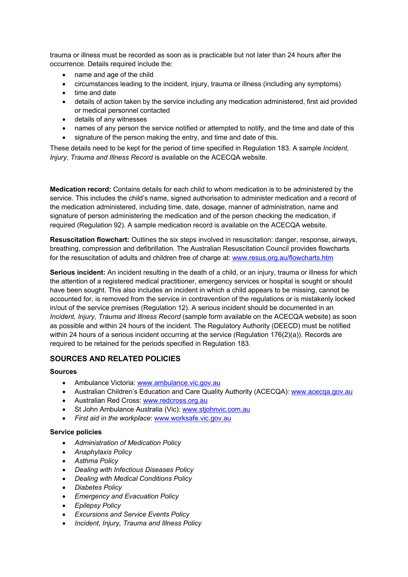trauma or illness must be recorded as soon as is practicable but not later than 24 hours after the occurrence. Details required include the:

- name and age of the child
- circumstances leading to the incident, injury, trauma or illness (including any symptoms)
- time and date
- details of action taken by the service including any medication administered, first aid provided or medical personnel contacted
- details of any witnesses
- names of any person the service notified or attempted to notify, and the time and date of this
- signature of the person making the entry, and time and date of this.

These details need to be kept for the period of time specified in Regulation 183. A sample *Incident, Injury, Trauma and Illness Record* is available on the ACECQA website.

**Medication record:** Contains details for each child to whom medication is to be administered by the service. This includes the child's name, signed authorisation to administer medication and a record of the medication administered, including time, date, dosage, manner of administration, name and signature of person administering the medication and of the person checking the medication, if required (Regulation 92). A sample medication record is available on the ACECQA website.

**Resuscitation flowchart:** Outlines the six steps involved in resuscitation: danger, response, airways, breathing, compression and defibrillation. The Australian Resuscitation Council provides flowcharts for the resuscitation of adults and children free of charge at: www.resus.org.au/flowcharts.htm

**Serious incident:** An incident resulting in the death of a child, or an injury, trauma or illness for which the attention of a registered medical practitioner, emergency services or hospital is sought or should have been sought. This also includes an incident in which a child appears to be missing, cannot be accounted for, is removed from the service in contravention of the regulations or is mistakenly locked in/out of the service premises (Regulation 12). A serious incident should be documented in an *Incident, Injury, Trauma and Illness Record* (sample form available on the ACECQA website) as soon as possible and within 24 hours of the incident. The Regulatory Authority (DEECD) must be notified within 24 hours of a serious incident occurring at the service (Regulation 176(2)(a)). Records are required to be retained for the periods specified in Regulation 183.

#### **SOURCES AND RELATED POLICIES**

#### **Sources**

- Ambulance Victoria: www.ambulance.vic.gov.au
- Australian Children's Education and Care Quality Authority (ACECQA): www.acecqa.gov.au
- Australian Red Cross: www.redcross.org.au
- St John Ambulance Australia (Vic): www.stiohnvic.com.au
- *First aid in the workplace*: www.worksafe.vic.gov.au

#### **Service policies**

- *Administration of Medication Policy*
- *Anaphylaxis Policy*
- *Asthma Policy*
- *Dealing with Infectious Diseases Policy*
- *Dealing with Medical Conditions Policy*
- *Diabetes Policy*
- *Emergency and Evacuation Policy*
- *Epilepsy Policy*
- *Excursions and Service Events Policy*
- *Incident, Injury, Trauma and Illness Policy*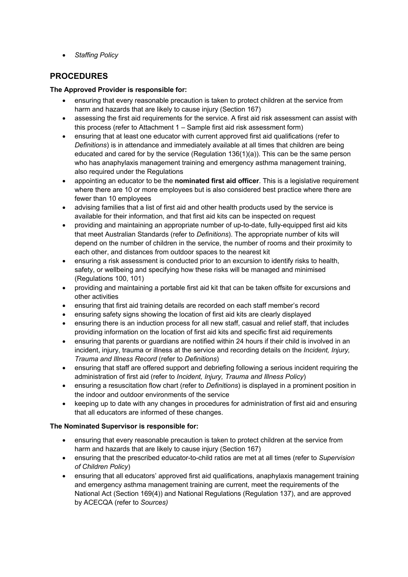• *Staffing Policy*

## **PROCEDURES**

#### **The Approved Provider is responsible for:**

- ensuring that every reasonable precaution is taken to protect children at the service from harm and hazards that are likely to cause injury (Section 167)
- assessing the first aid requirements for the service. A first aid risk assessment can assist with this process (refer to Attachment 1 – Sample first aid risk assessment form)
- ensuring that at least one educator with current approved first aid qualifications (refer to *Definitions*) is in attendance and immediately available at all times that children are being educated and cared for by the service (Regulation  $136(1)(a)$ ). This can be the same person who has anaphylaxis management training and emergency asthma management training, also required under the Regulations
- appointing an educator to be the **nominated first aid officer**. This is a legislative requirement where there are 10 or more employees but is also considered best practice where there are fewer than 10 employees
- advising families that a list of first aid and other health products used by the service is available for their information, and that first aid kits can be inspected on request
- providing and maintaining an appropriate number of up-to-date, fully-equipped first aid kits that meet Australian Standards (refer to *Definitions*). The appropriate number of kits will depend on the number of children in the service, the number of rooms and their proximity to each other, and distances from outdoor spaces to the nearest kit
- ensuring a risk assessment is conducted prior to an excursion to identify risks to health, safety, or wellbeing and specifying how these risks will be managed and minimised (Regulations 100, 101)
- providing and maintaining a portable first aid kit that can be taken offsite for excursions and other activities
- ensuring that first aid training details are recorded on each staff member's record
- ensuring safety signs showing the location of first aid kits are clearly displayed
- ensuring there is an induction process for all new staff, casual and relief staff, that includes providing information on the location of first aid kits and specific first aid requirements
- ensuring that parents or guardians are notified within 24 hours if their child is involved in an incident, injury, trauma or illness at the service and recording details on the *Incident, Injury, Trauma and Illness Record* (refer to *Definitions*)
- ensuring that staff are offered support and debriefing following a serious incident requiring the administration of first aid (refer to *Incident, Injury, Trauma and Illness Policy*)
- ensuring a resuscitation flow chart (refer to *Definitions*) is displayed in a prominent position in the indoor and outdoor environments of the service
- keeping up to date with any changes in procedures for administration of first aid and ensuring that all educators are informed of these changes.

## **The Nominated Supervisor is responsible for:**

- ensuring that every reasonable precaution is taken to protect children at the service from harm and hazards that are likely to cause injury (Section 167)
- ensuring that the prescribed educator-to-child ratios are met at all times (refer to *Supervision of Children Policy*)
- ensuring that all educators' approved first aid qualifications, anaphylaxis management training and emergency asthma management training are current, meet the requirements of the National Act (Section 169(4)) and National Regulations (Regulation 137), and are approved by ACECQA (refer to *Sources)*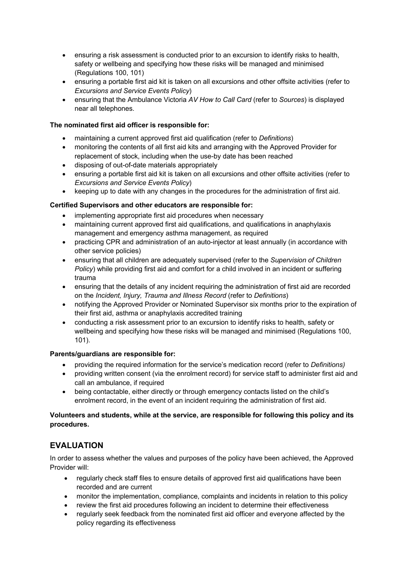- ensuring a risk assessment is conducted prior to an excursion to identify risks to health, safety or wellbeing and specifying how these risks will be managed and minimised (Regulations 100, 101)
- ensuring a portable first aid kit is taken on all excursions and other offsite activities (refer to *Excursions and Service Events Policy*)
- ensuring that the Ambulance Victoria *AV How to Call Card* (refer to *Sources*) is displayed near all telephones.

#### **The nominated first aid officer is responsible for:**

- maintaining a current approved first aid qualification (refer to *Definitions*)
- monitoring the contents of all first aid kits and arranging with the Approved Provider for replacement of stock, including when the use-by date has been reached
- disposing of out-of-date materials appropriately
- ensuring a portable first aid kit is taken on all excursions and other offsite activities (refer to *Excursions and Service Events Policy*)
- keeping up to date with any changes in the procedures for the administration of first aid.

#### **Certified Supervisors and other educators are responsible for:**

- implementing appropriate first aid procedures when necessary
- maintaining current approved first aid qualifications, and qualifications in anaphylaxis management and emergency asthma management, as required
- practicing CPR and administration of an auto-injector at least annually (in accordance with other service policies)
- ensuring that all children are adequately supervised (refer to the *Supervision of Children Policy*) while providing first aid and comfort for a child involved in an incident or suffering trauma
- ensuring that the details of any incident requiring the administration of first aid are recorded on the *Incident, Injury, Trauma and Illness Record* (refer to *Definitions*)
- notifying the Approved Provider or Nominated Supervisor six months prior to the expiration of their first aid, asthma or anaphylaxis accredited training
- conducting a risk assessment prior to an excursion to identify risks to health, safety or wellbeing and specifying how these risks will be managed and minimised (Regulations 100, 101).

#### **Parents/guardians are responsible for:**

- providing the required information for the service's medication record (refer to *Definitions)*
- providing written consent (via the enrolment record) for service staff to administer first aid and call an ambulance, if required
- being contactable, either directly or through emergency contacts listed on the child's enrolment record, in the event of an incident requiring the administration of first aid.

#### **Volunteers and students, while at the service, are responsible for following this policy and its procedures.**

## **EVALUATION**

In order to assess whether the values and purposes of the policy have been achieved, the Approved Provider will:

- regularly check staff files to ensure details of approved first aid qualifications have been recorded and are current
- monitor the implementation, compliance, complaints and incidents in relation to this policy
- review the first aid procedures following an incident to determine their effectiveness
- regularly seek feedback from the nominated first aid officer and everyone affected by the policy regarding its effectiveness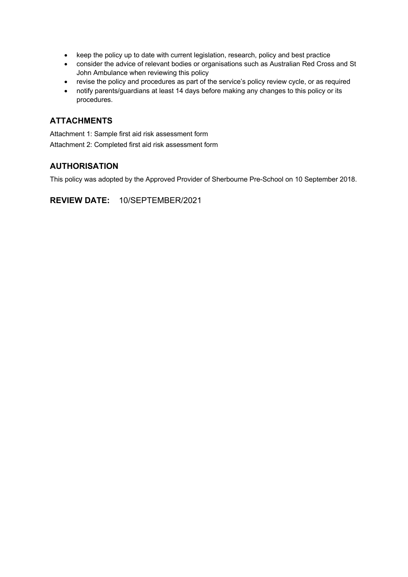- keep the policy up to date with current legislation, research, policy and best practice
- consider the advice of relevant bodies or organisations such as Australian Red Cross and St John Ambulance when reviewing this policy
- revise the policy and procedures as part of the service's policy review cycle, or as required
- notify parents/guardians at least 14 days before making any changes to this policy or its procedures.

## **ATTACHMENTS**

Attachment 1: Sample first aid risk assessment form Attachment 2: Completed first aid risk assessment form

## **AUTHORISATION**

This policy was adopted by the Approved Provider of Sherbourne Pre-School on 10 September 2018.

**REVIEW DATE:** 10/SEPTEMBER/2021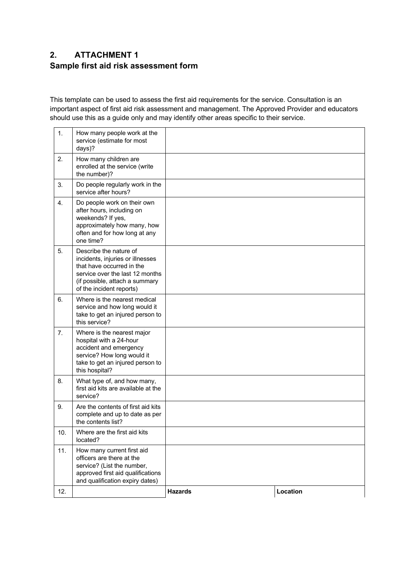# **2. ATTACHMENT 1 Sample first aid risk assessment form**

This template can be used to assess the first aid requirements for the service. Consultation is an important aspect of first aid risk assessment and management. The Approved Provider and educators should use this as a guide only and may identify other areas specific to their service.

| 11. | located?<br>How many current first aid<br>officers are there at the<br>service? (List the number,<br>approved first aid qualifications<br>and qualification expiry dates)                |  |
|-----|------------------------------------------------------------------------------------------------------------------------------------------------------------------------------------------|--|
| 10. | complete and up to date as per<br>the contents list?<br>Where are the first aid kits                                                                                                     |  |
| 9.  | service?<br>Are the contents of first aid kits                                                                                                                                           |  |
| 8.  | What type of, and how many,<br>first aid kits are available at the                                                                                                                       |  |
| 7.  | Where is the nearest major<br>hospital with a 24-hour<br>accident and emergency<br>service? How long would it<br>take to get an injured person to<br>this hospital?                      |  |
| 6.  | Where is the nearest medical<br>service and how long would it<br>take to get an injured person to<br>this service?                                                                       |  |
| 5.  | Describe the nature of<br>incidents, injuries or illnesses<br>that have occurred in the<br>service over the last 12 months<br>(if possible, attach a summary<br>of the incident reports) |  |
| 4.  | Do people work on their own<br>after hours, including on<br>weekends? If yes,<br>approximately how many, how<br>often and for how long at any<br>one time?                               |  |
| 3.  | Do people regularly work in the<br>service after hours?                                                                                                                                  |  |
| 2.  | How many children are<br>enrolled at the service (write<br>the number)?                                                                                                                  |  |
| 1.  | How many people work at the<br>service (estimate for most<br>days)?                                                                                                                      |  |